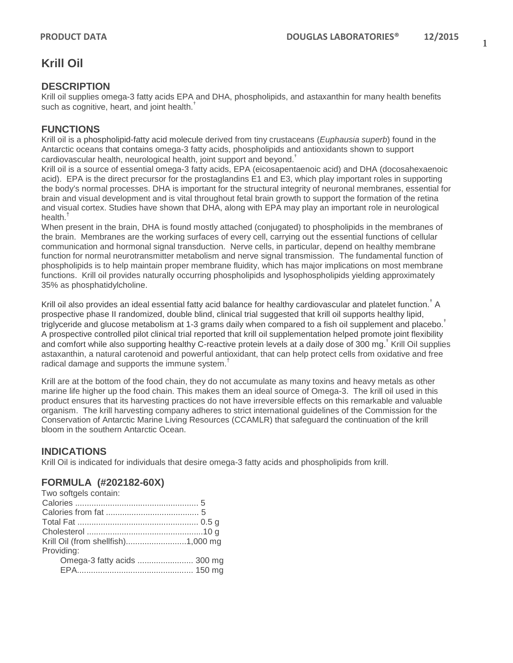# **Krill Oil**

## **DESCRIPTION**

Krill oil supplies omega-3 fatty acids EPA and DHA, phospholipids, and astaxanthin for many health benefits such as cognitive, heart, and joint health.<sup>†</sup>

# **FUNCTIONS**

Krill oil is a phospholipid-fatty acid molecule derived from tiny crustaceans (*Euphausia superb*) found in the Antarctic oceans that contains omega-3 fatty acids, phospholipids and antioxidants shown to support cardiovascular health, neurological health, joint support and beyond.†

Krill oil is a source of essential omega-3 fatty acids, EPA (eicosapentaenoic acid) and DHA (docosahexaenoic acid). EPA is the direct precursor for the prostaglandins E1 and E3, which play important roles in supporting the body's normal processes. DHA is important for the structural integrity of neuronal membranes, essential for brain and visual development and is vital throughout fetal brain growth to support the formation of the retina and visual cortex. Studies have shown that DHA, along with EPA may play an important role in neurological health.<sup>†</sup>

When present in the brain, DHA is found mostly attached (conjugated) to phospholipids in the membranes of the brain. Membranes are the working surfaces of every cell, carrying out the essential functions of cellular communication and hormonal signal transduction. Nerve cells, in particular, depend on healthy membrane function for normal neurotransmitter metabolism and nerve signal transmission. The fundamental function of phospholipids is to help maintain proper membrane fluidity, which has major implications on most membrane functions. Krill oil provides naturally occurring phospholipids and lysophospholipids yielding approximately 35% as phosphatidylcholine.

Krill oil also provides an ideal essential fatty acid balance for healthy cardiovascular and platelet function.<sup>†</sup> A prospective phase II randomized, double blind, clinical trial suggested that krill oil supports healthy lipid, triglyceride and glucose metabolism at 1-3 grams daily when compared to a fish oil supplement and placebo.<sup>†</sup> A prospective controlled pilot clinical trial reported that krill oil supplementation helped promote joint flexibility and comfort while also supporting healthy C-reactive protein levels at a daily dose of 300 mg.<sup>†</sup> Krill Oil supplies astaxanthin, a natural carotenoid and powerful antioxidant, that can help protect cells from oxidative and free radical damage and supports the immune system. $<sup>†</sup>$ </sup>

Krill are at the bottom of the food chain, they do not accumulate as many toxins and heavy metals as other marine life higher up the food chain. This makes them an ideal source of Omega-3. The krill oil used in this product ensures that its harvesting practices do not have irreversible effects on this remarkable and valuable organism. The krill harvesting company adheres to strict international guidelines of the Commission for the Conservation of Antarctic Marine Living Resources (CCAMLR) that safeguard the continuation of the krill bloom in the southern Antarctic Ocean.

# **INDICATIONS**

Krill Oil is indicated for individuals that desire omega-3 fatty acids and phospholipids from krill.

## **FORMULA (#202182-60X)**

| Two softgels contain: |  |
|-----------------------|--|
|                       |  |
|                       |  |
|                       |  |
|                       |  |
|                       |  |
| Providing:            |  |
|                       |  |
|                       |  |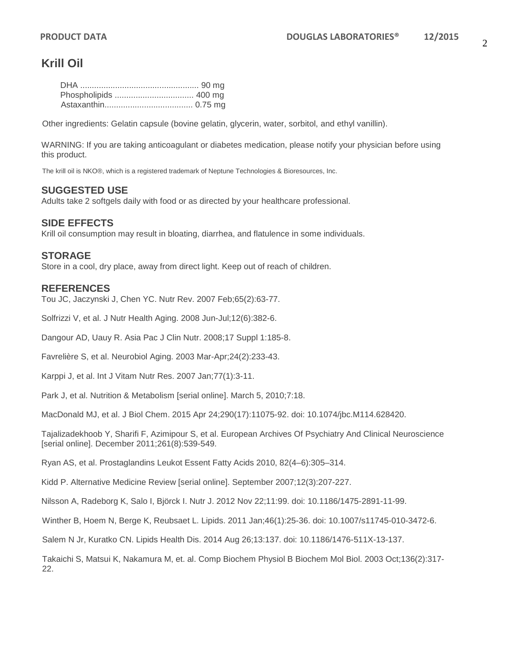# **Krill Oil**

Other ingredients: Gelatin capsule (bovine gelatin, glycerin, water, sorbitol, and ethyl vanillin).

WARNING: If you are taking anticoagulant or diabetes medication, please notify your physician before using this product.

The krill oil is NKO®, which is a registered trademark of Neptune Technologies & Bioresources, Inc.

#### **SUGGESTED USE**

Adults take 2 softgels daily with food or as directed by your healthcare professional.

#### **SIDE EFFECTS**

Krill oil consumption may result in bloating, diarrhea, and flatulence in some individuals.

#### **STORAGE**

Store in a cool, dry place, away from direct light. Keep out of reach of children.

#### **REFERENCES**

Tou JC, Jaczynski J, Chen YC. Nutr Rev. 2007 Feb;65(2):63-77.

Solfrizzi V, et al. J Nutr Health Aging. 2008 Jun-Jul;12(6):382-6.

Dangour AD, Uauy R. Asia Pac J Clin Nutr. 2008;17 Suppl 1:185-8.

Favrelière S, et al. Neurobiol Aging. 2003 Mar-Apr;24(2):233-43.

Karppi J, et al. Int J Vitam Nutr Res. 2007 Jan;77(1):3-11.

Park J, et al. Nutrition & Metabolism [serial online]. March 5, 2010;7:18.

MacDonald MJ, et al. J Biol Chem. 2015 Apr 24;290(17):11075-92. doi: 10.1074/jbc.M114.628420.

Tajalizadekhoob Y, Sharifi F, Azimipour S, et al. European Archives Of Psychiatry And Clinical Neuroscience [serial online]. December 2011;261(8):539-549.

Ryan AS, et al. Prostaglandins Leukot Essent Fatty Acids 2010, 82(4–6):305–314.

Kidd P. Alternative Medicine Review [serial online]. September 2007;12(3):207-227.

Nilsson A, Radeborg K, Salo I, Björck I. Nutr J. 2012 Nov 22;11:99. doi: 10.1186/1475-2891-11-99.

Winther B, Hoem N, Berge K, Reubsaet L. Lipids. 2011 Jan;46(1):25-36. doi: 10.1007/s11745-010-3472-6.

Salem N Jr, Kuratko CN. Lipids Health Dis. 2014 Aug 26;13:137. doi: 10.1186/1476-511X-13-137.

Takaichi S, Matsui K, Nakamura M, et. al. Comp Biochem Physiol B Biochem Mol Biol. 2003 Oct;136(2):317- 22.